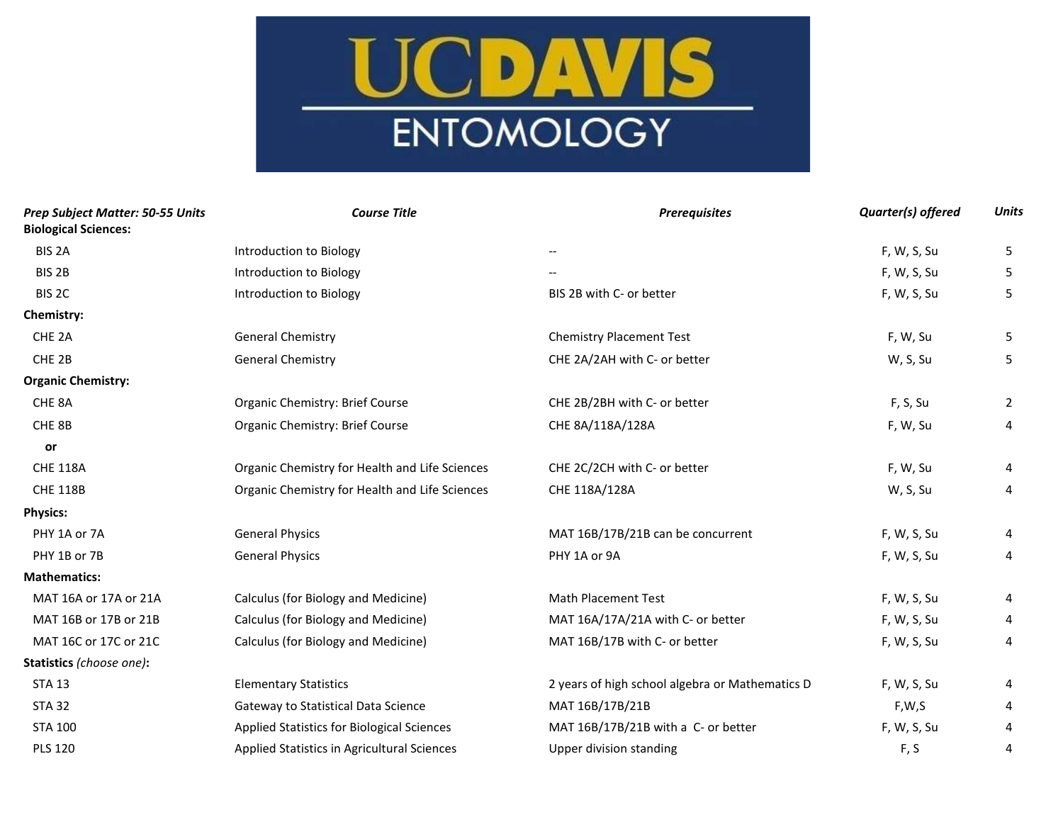## UCDAVIS ENTOMOLOGY

| Prep Subject Matter: 50-55 Units<br><b>Biological Sciences:</b> | <b>Course Title</b>                            | <b>Prerequisites</b>                            | Quarter(s) offered | <b>Units</b> |
|-----------------------------------------------------------------|------------------------------------------------|-------------------------------------------------|--------------------|--------------|
| BIS <sub>2A</sub>                                               | Introduction to Biology                        |                                                 | F, W, S, Su        | 5            |
| BIS <sub>2B</sub>                                               | Introduction to Biology                        |                                                 | F, W, S, Su        | 5            |
| BIS <sub>2C</sub>                                               | Introduction to Biology                        | BIS 2B with C- or better                        | F, W, S, Su        | 5            |
| Chemistry:                                                      |                                                |                                                 |                    |              |
| CHE <sub>2A</sub>                                               | General Chemistry                              | <b>Chemistry Placement Test</b>                 | F, W, Su           | 5            |
| CHE <sub>2B</sub>                                               | <b>General Chemistry</b>                       | CHE 2A/2AH with C- or better                    | W, S, Su           | 5            |
| <b>Organic Chemistry:</b>                                       |                                                |                                                 |                    |              |
| CHE <sub>8A</sub>                                               | Organic Chemistry: Brief Course                | CHE 2B/2BH with C- or better                    | F, S, Su           | 2            |
| CHE 8B                                                          | Organic Chemistry: Brief Course                | CHE 8A/118A/128A                                | F, W, Su           | 4            |
| or                                                              |                                                |                                                 |                    |              |
| <b>CHE 118A</b>                                                 | Organic Chemistry for Health and Life Sciences | CHE 2C/2CH with C- or better                    | F, W, Su           | 4            |
| <b>CHE 118B</b>                                                 | Organic Chemistry for Health and Life Sciences | CHE 118A/128A                                   | W, S, Su           | 4            |
| <b>Physics:</b>                                                 |                                                |                                                 |                    |              |
| PHY 1A or 7A                                                    | <b>General Physics</b>                         | MAT 16B/17B/21B can be concurrent               | F, W, S, Su        | 4            |
| PHY 1B or 7B                                                    | <b>General Physics</b>                         | PHY 1A or 9A                                    | F, W, S, Su        | 4            |
| <b>Mathematics:</b>                                             |                                                |                                                 |                    |              |
| MAT 16A or 17A or 21A                                           | Calculus (for Biology and Medicine)            | Math Placement Test                             | F, W, S, Su        | 4            |
| MAT 16B or 17B or 21B                                           | Calculus (for Biology and Medicine)            | MAT 16A/17A/21A with C- or better               | F, W, S, Su        | 4            |
| MAT 16C or 17C or 21C                                           | Calculus (for Biology and Medicine)            | MAT 16B/17B with C- or better                   | F, W, S, Su        | 4            |
| Statistics (choose one):                                        |                                                |                                                 |                    |              |
| <b>STA 13</b>                                                   | <b>Elementary Statistics</b>                   | 2 years of high school algebra or Mathematics D | F, W, S, Su        | 4            |
| <b>STA 32</b>                                                   | Gateway to Statistical Data Science            | MAT 16B/17B/21B                                 | F,W,S              | 4            |
| <b>STA 100</b>                                                  | Applied Statistics for Biological Sciences     | MAT 16B/17B/21B with a C- or better             | F, W, S, Su        | 4            |
| <b>PLS 120</b>                                                  | Applied Statistics in Agricultural Sciences    | Upper division standing                         | F, S               | 4            |